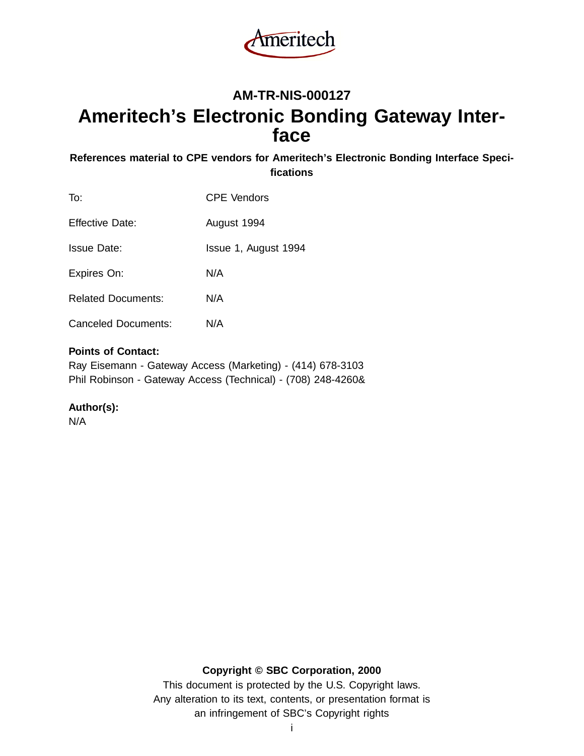

# **AM-TR-NIS-000127 Ameritech's Electronic Bonding Gateway Interface**

**References material to CPE vendors for Ameritech's Electronic Bonding Interface Specifications**

| To:                        | <b>CPE Vendors</b>   |
|----------------------------|----------------------|
| Effective Date:            | August 1994          |
| <b>Issue Date:</b>         | Issue 1, August 1994 |
| Expires On:                | N/A                  |
| <b>Related Documents:</b>  | N/A                  |
| <b>Canceled Documents:</b> | N/A                  |

## **Points of Contact:**

Ray Eisemann - Gateway Access (Marketing) - (414) 678-3103 Phil Robinson - Gateway Access (Technical) - (708) 248-4260&

### **Author(s):**

N/A

# **Copyright © SBC Corporation, 2000**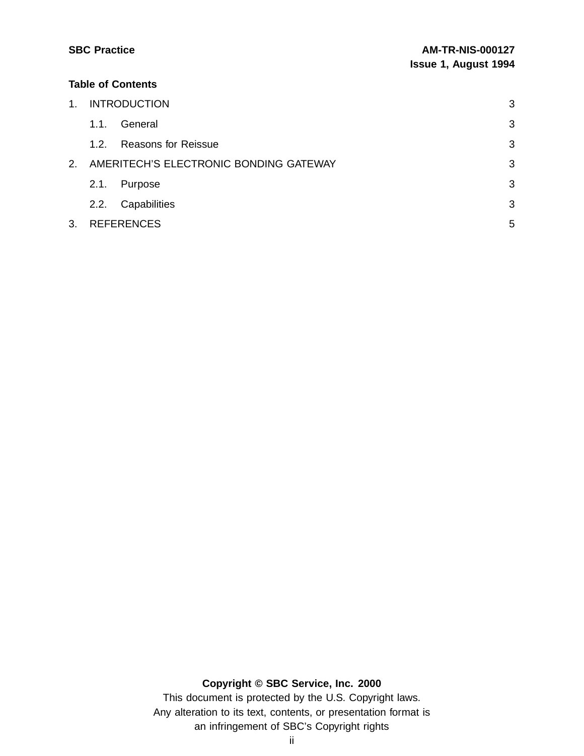# **Table of Contents**

| 1. |      | <b>INTRODUCTION</b>                    | 3 |
|----|------|----------------------------------------|---|
|    | 1.1. | General                                | 3 |
|    | 1.2. | <b>Reasons for Reissue</b>             | 3 |
| 2. |      | AMERITECH'S ELECTRONIC BONDING GATEWAY | 3 |
|    | 2.1. | Purpose                                | 3 |
|    | 2.2. | Capabilities                           | 3 |
| 3. |      | <b>REFERENCES</b>                      | 5 |

# **Copyright © SBC Service, Inc. 2000**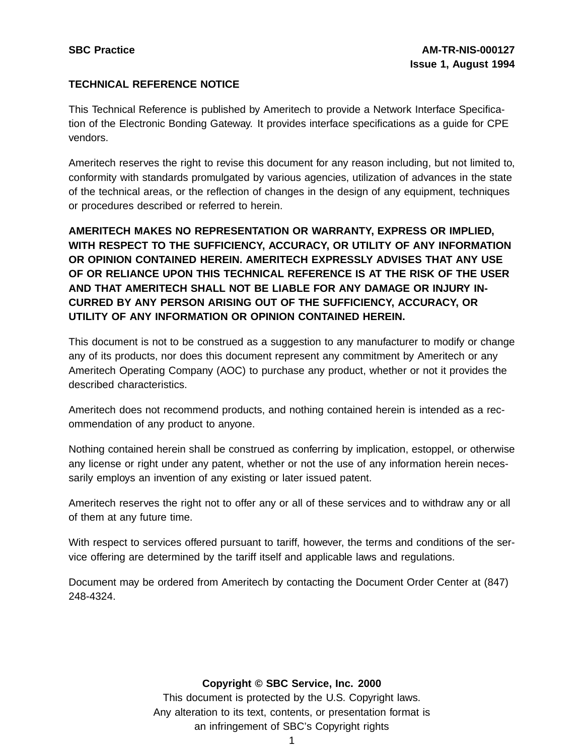## **TECHNICAL REFERENCE NOTICE**

This Technical Reference is published by Ameritech to provide a Network Interface Specification of the Electronic Bonding Gateway. It provides interface specifications as a guide for CPE vendors.

Ameritech reserves the right to revise this document for any reason including, but not limited to, conformity with standards promulgated by various agencies, utilization of advances in the state of the technical areas, or the reflection of changes in the design of any equipment, techniques or procedures described or referred to herein.

**AMERITECH MAKES NO REPRESENTATION OR WARRANTY, EXPRESS OR IMPLIED, WITH RESPECT TO THE SUFFICIENCY, ACCURACY, OR UTILITY OF ANY INFORMATION OR OPINION CONTAINED HEREIN. AMERITECH EXPRESSLY ADVISES THAT ANY USE OF OR RELIANCE UPON THIS TECHNICAL REFERENCE IS AT THE RISK OF THE USER AND THAT AMERITECH SHALL NOT BE LIABLE FOR ANY DAMAGE OR INJURY IN-CURRED BY ANY PERSON ARISING OUT OF THE SUFFICIENCY, ACCURACY, OR UTILITY OF ANY INFORMATION OR OPINION CONTAINED HEREIN.**

This document is not to be construed as a suggestion to any manufacturer to modify or change any of its products, nor does this document represent any commitment by Ameritech or any Ameritech Operating Company (AOC) to purchase any product, whether or not it provides the described characteristics.

Ameritech does not recommend products, and nothing contained herein is intended as a recommendation of any product to anyone.

Nothing contained herein shall be construed as conferring by implication, estoppel, or otherwise any license or right under any patent, whether or not the use of any information herein necessarily employs an invention of any existing or later issued patent.

Ameritech reserves the right not to offer any or all of these services and to withdraw any or all of them at any future time.

With respect to services offered pursuant to tariff, however, the terms and conditions of the service offering are determined by the tariff itself and applicable laws and regulations.

Document may be ordered from Ameritech by contacting the Document Order Center at (847) 248-4324.

### **Copyright © SBC Service, Inc. 2000**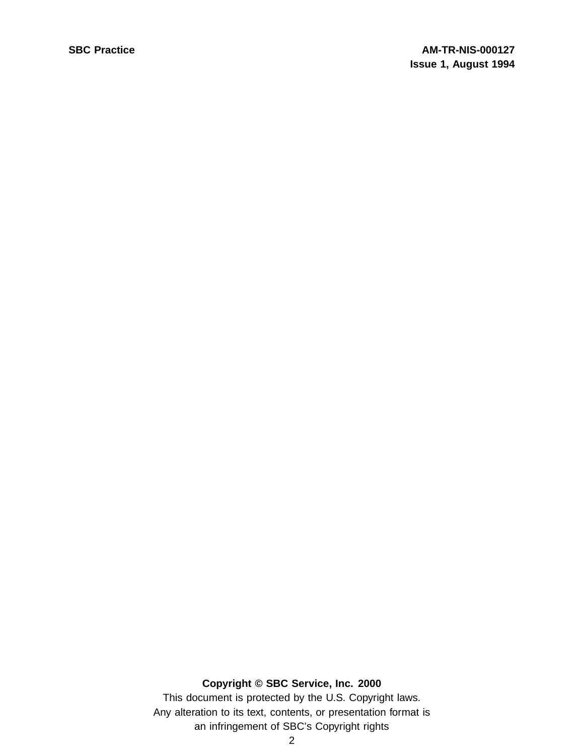# **Copyright © SBC Service, Inc. 2000**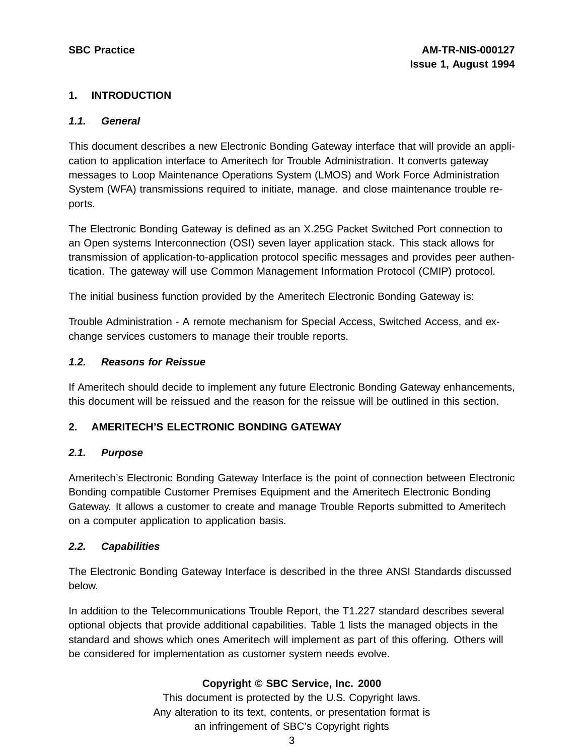## **1. INTRODUCTION**

### **1.1. General**

This document describes a new Electronic Bonding Gateway interface that will provide an application to application interface to Ameritech for Trouble Administration. It converts gateway messages to Loop Maintenance Operations System (LMOS) and Work Force Administration System (WFA) transmissions required to initiate, manage. and close maintenance trouble reports.

The Electronic Bonding Gateway is defined as an X.25G Packet Switched Port connection to an Open systems Interconnection (OSI) seven layer application stack. This stack allows for transmission of application-to-application protocol specific messages and provides peer authentication. The gateway will use Common Management Information Protocol (CMIP) protocol.

The initial business function provided by the Ameritech Electronic Bonding Gateway is:

Trouble Administration - A remote mechanism for Special Access, Switched Access, and exchange services customers to manage their trouble reports.

### **1.2. Reasons for Reissue**

If Ameritech should decide to implement any future Electronic Bonding Gateway enhancements, this document will be reissued and the reason for the reissue will be outlined in this section.

### **2. AMERITECH'S ELECTRONIC BONDING GATEWAY**

### **2.1. Purpose**

Ameritech's Electronic Bonding Gateway Interface is the point of connection between Electronic Bonding compatible Customer Premises Equipment and the Ameritech Electronic Bonding Gateway. It allows a customer to create and manage Trouble Reports submitted to Ameritech on a computer application to application basis.

### **2.2. Capabilities**

The Electronic Bonding Gateway Interface is described in the three ANSI Standards discussed below.

In addition to the Telecommunications Trouble Report, the T1.227 standard describes several optional objects that provide additional capabilities. Table 1 lists the managed objects in the standard and shows which ones Ameritech will implement as part of this offering. Others will be considered for implementation as customer system needs evolve.

# **Copyright © SBC Service, Inc. 2000**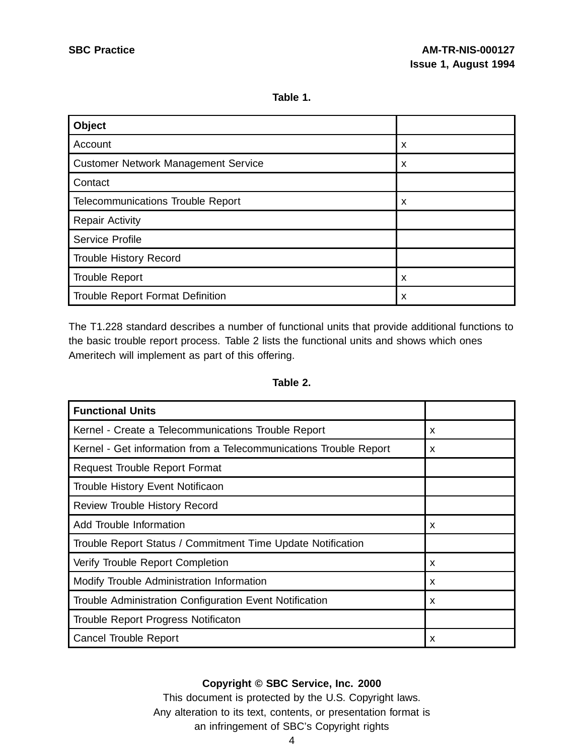#### **Table 1.**

| Object                                     |   |
|--------------------------------------------|---|
| Account                                    | х |
| <b>Customer Network Management Service</b> | X |
| Contact                                    |   |
| Telecommunications Trouble Report          | X |
| <b>Repair Activity</b>                     |   |
| <b>Service Profile</b>                     |   |
| <b>Trouble History Record</b>              |   |
| <b>Trouble Report</b>                      | X |
| <b>Trouble Report Format Definition</b>    | X |

The T1.228 standard describes a number of functional units that provide additional functions to the basic trouble report process. Table 2 lists the functional units and shows which ones Ameritech will implement as part of this offering.

### **Table 2.**

| <b>Functional Units</b>                                           |   |
|-------------------------------------------------------------------|---|
| Kernel - Create a Telecommunications Trouble Report               | x |
| Kernel - Get information from a Telecommunications Trouble Report | x |
| <b>Request Trouble Report Format</b>                              |   |
| Trouble History Event Notificaon                                  |   |
| <b>Review Trouble History Record</b>                              |   |
| Add Trouble Information                                           | X |
| Trouble Report Status / Commitment Time Update Notification       |   |
| Verify Trouble Report Completion                                  | X |
| Modify Trouble Administration Information                         | x |
| Trouble Administration Configuration Event Notification           | x |
| Trouble Report Progress Notificaton                               |   |
| <b>Cancel Trouble Report</b>                                      | x |

#### **Copyright © SBC Service, Inc. 2000**